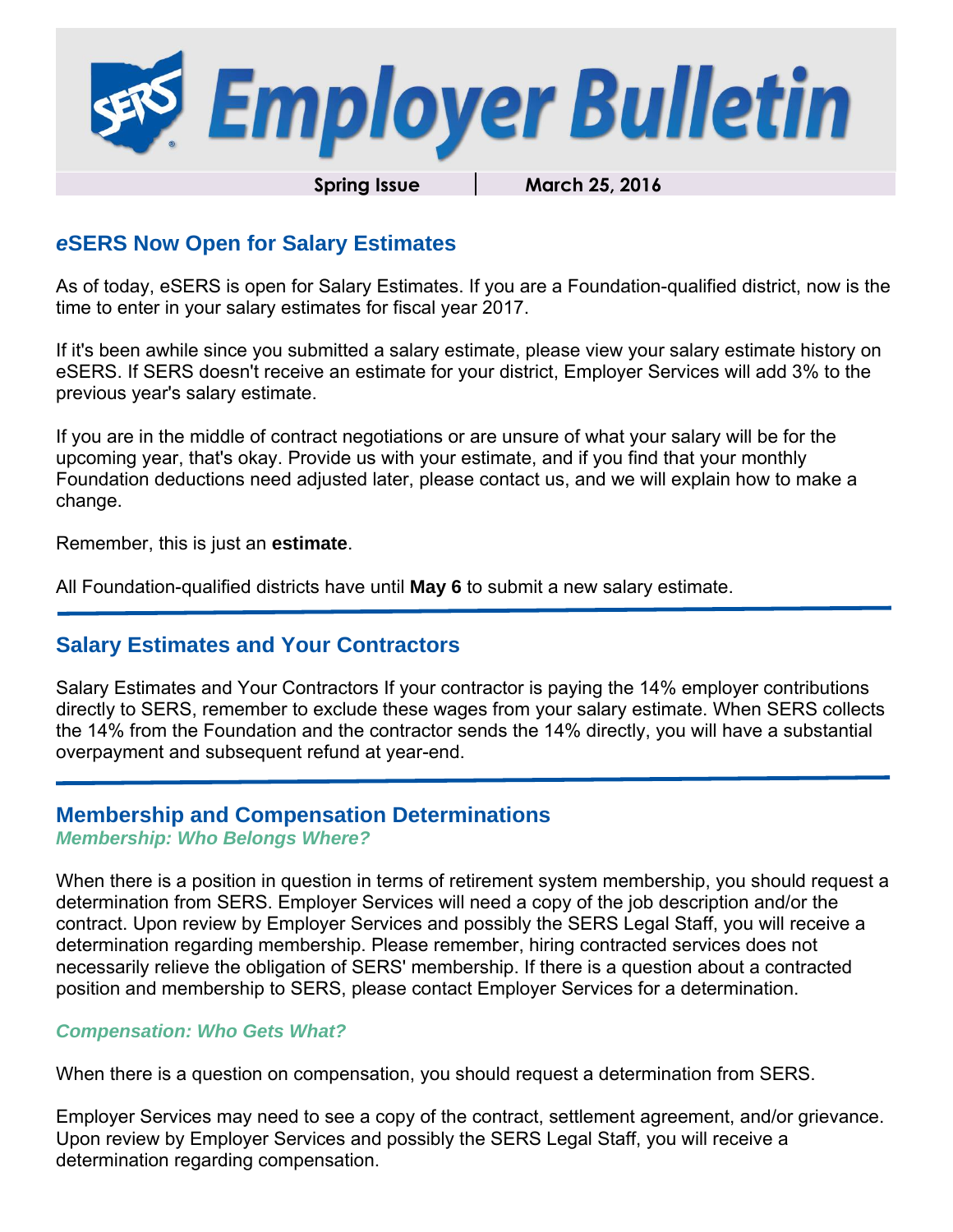

Spring Issue **March 25, 2016** 

#### *e***SERS Now Open for Salary Estimates**

As of today, eSERS is open for Salary Estimates. If you are a Foundation-qualified district, now is the time to enter in your salary estimates for fiscal year 2017.

If it's been awhile since you submitted a salary estimate, please view your salary estimate history on eSERS. If SERS doesn't receive an estimate for your district, Employer Services will add 3% to the previous year's salary estimate.

If you are in the middle of contract negotiations or are unsure of what your salary will be for the upcoming year, that's okay. Provide us with your estimate, and if you find that your monthly Foundation deductions need adjusted later, please contact us, and we will explain how to make a change.

Remember, this is just an **estimate**.

All Foundation-qualified districts have until **May 6** to submit a new salary estimate.

#### **Salary Estimates and Your Contractors**

Salary Estimates and Your Contractors If your contractor is paying the 14% employer contributions directly to SERS, remember to exclude these wages from your salary estimate. When SERS collects the 14% from the Foundation and the contractor sends the 14% directly, you will have a substantial overpayment and subsequent refund at year-end.

#### **Membership and Compensation Determinations**

*Membership: Who Belongs Where?* 

When there is a position in question in terms of retirement system membership, you should request a determination from SERS. Employer Services will need a copy of the job description and/or the contract. Upon review by Employer Services and possibly the SERS Legal Staff, you will receive a determination regarding membership. Please remember, hiring contracted services does not necessarily relieve the obligation of SERS' membership. If there is a question about a contracted position and membership to SERS, please contact Employer Services for a determination.

#### *Compensation: Who Gets What?*

When there is a question on compensation, you should request a determination from SERS.

Employer Services may need to see a copy of the contract, settlement agreement, and/or grievance. Upon review by Employer Services and possibly the SERS Legal Staff, you will receive a determination regarding compensation.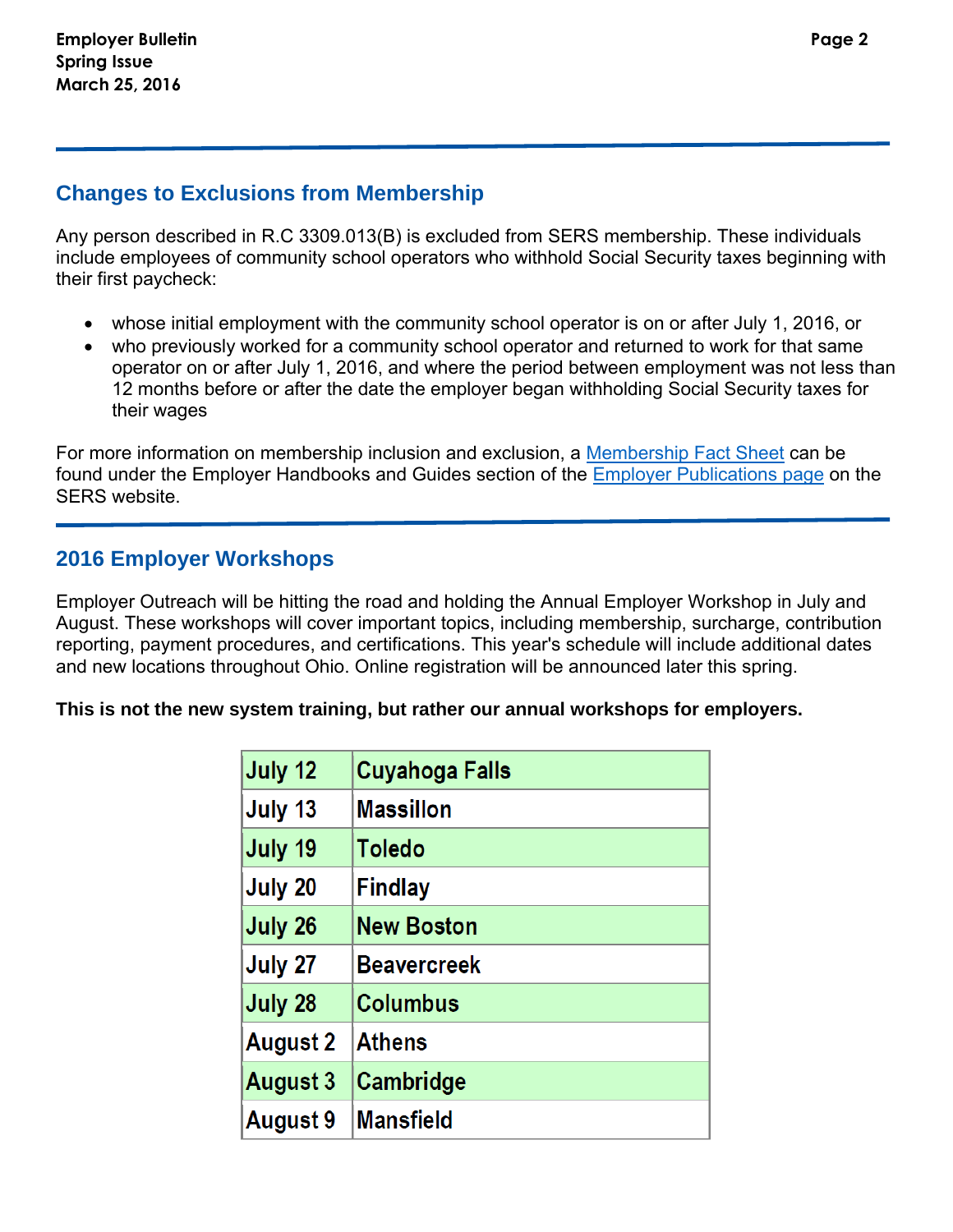Any person described in R.C 3309.013(B) is excluded from SERS membership. These individuals include employees of community school operators who withhold Social Security taxes beginning with their first paycheck:

- whose initial employment with the community school operator is on or after July 1, 2016, or
- who previously worked for a community school operator and returned to work for that same operator on or after July 1, 2016, and where the period between employment was not less than 12 months before or after the date the employer began withholding Social Security taxes for their wages

For more information on membership inclusion and exclusion, a [Membership Fact Sheet](http://www.ohsers.org/Document/Get/7341) can be found under the Employer Handbooks and Guides section of the [Employer Publications page](http://www.ohsers.org/employer-publications) on the SERS website.

## **2016 Employer Workshops**

Employer Outreach will be hitting the road and holding the Annual Employer Workshop in July and August. These workshops will cover important topics, including membership, surcharge, contribution reporting, payment procedures, and certifications. This year's schedule will include additional dates and new locations throughout Ohio. Online registration will be announced later this spring.

#### **This is not the new system training, but rather our annual workshops for employers.**

| July 12         | <b>Cuyahoga Falls</b> |
|-----------------|-----------------------|
| July 13         | <b>Massillon</b>      |
| July 19         | <b>Toledo</b>         |
| July 20         | <b>Findlay</b>        |
| July 26         | <b>New Boston</b>     |
| July 27         | <b>Beavercreek</b>    |
| July 28         | <b>Columbus</b>       |
| <b>August 2</b> | <b>Athens</b>         |
| <b>August 3</b> | Cambridge             |
| August 9        | <b>Mansfield</b>      |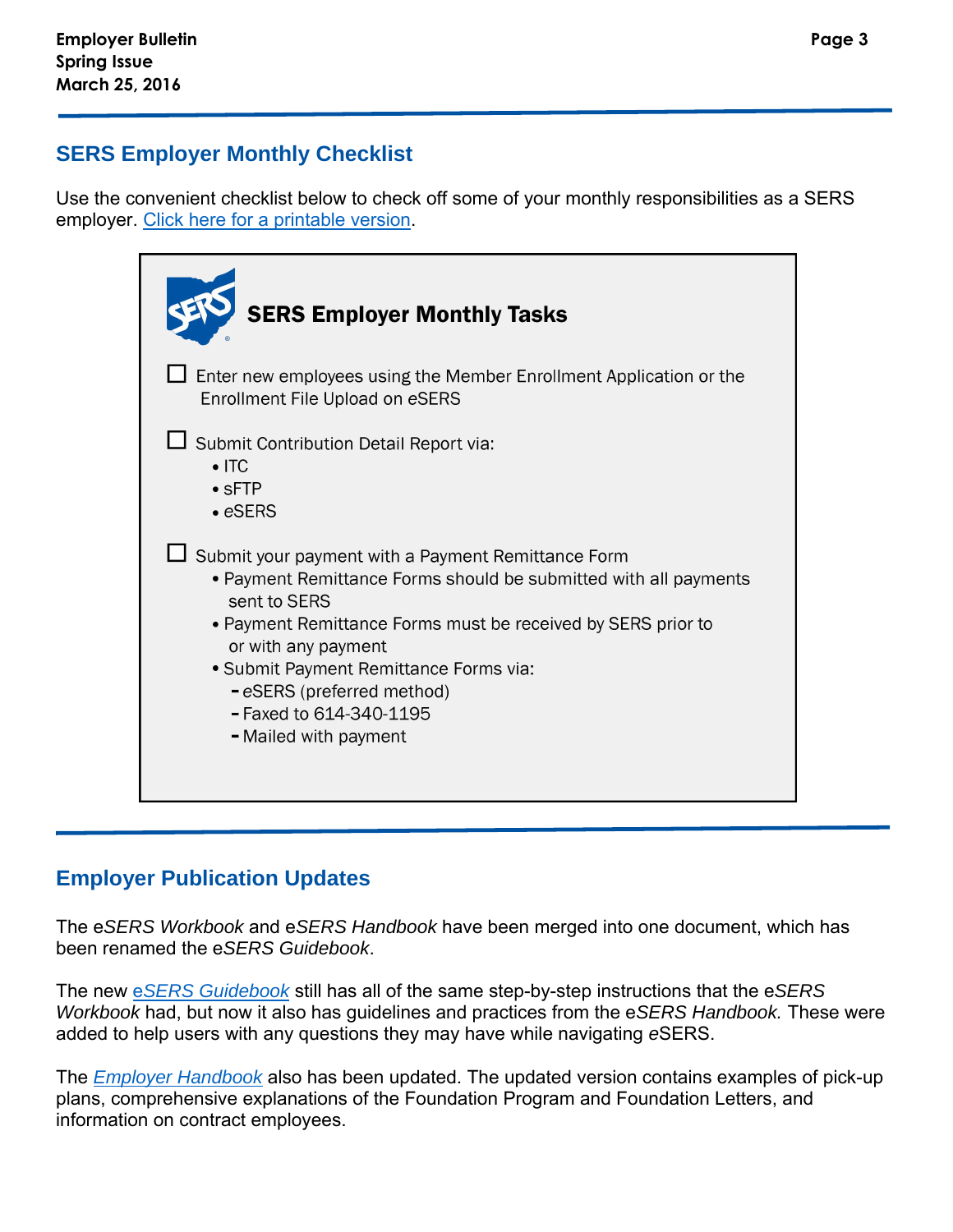## **SERS Employer Monthly Checklist**

Use the convenient checklist below to check off some of your monthly responsibilities as a SERS employer. [Click here for a printable version.](http://www.ohsers.org/Document/Get/15554)

| <b>SERS Employer Monthly Tasks</b>                                                                                                                                                                                                                                                                                                                               |
|------------------------------------------------------------------------------------------------------------------------------------------------------------------------------------------------------------------------------------------------------------------------------------------------------------------------------------------------------------------|
| Enter new employees using the Member Enrollment Application or the<br>Enrollment File Upload on eSERS                                                                                                                                                                                                                                                            |
| Submit Contribution Detail Report via:<br>$\bullet$ ITC<br>$\bullet$ sFTP<br>$\bullet$ eSERS                                                                                                                                                                                                                                                                     |
| $\Box$ Submit your payment with a Payment Remittance Form<br>• Payment Remittance Forms should be submitted with all payments<br>sent to SERS<br>• Payment Remittance Forms must be received by SERS prior to<br>or with any payment<br>• Submit Payment Remittance Forms via:<br>- eSERS (preferred method)<br>- Faxed to 614-340-1195<br>- Mailed with payment |

# **Employer Publication Updates**

The e*SERS Workbook* and e*SERS Handbook* have been merged into one document, which has been renamed the e*SERS Guidebook*.

The new e*[SERS Guidebook](http://www.ohsers.org/Document/Get/15435)* still has all of the same step-by-step instructions that the e*SERS Workbook* had, but now it also has guidelines and practices from the e*SERS Handbook.* These were added to help users with any questions they may have while navigating *e*SERS.

The *[Employer Handbook](http://www.ohsers.org/Document/Get/12166)* also has been updated. The updated version contains examples of pick-up plans, comprehensive explanations of the Foundation Program and Foundation Letters, and information on contract employees.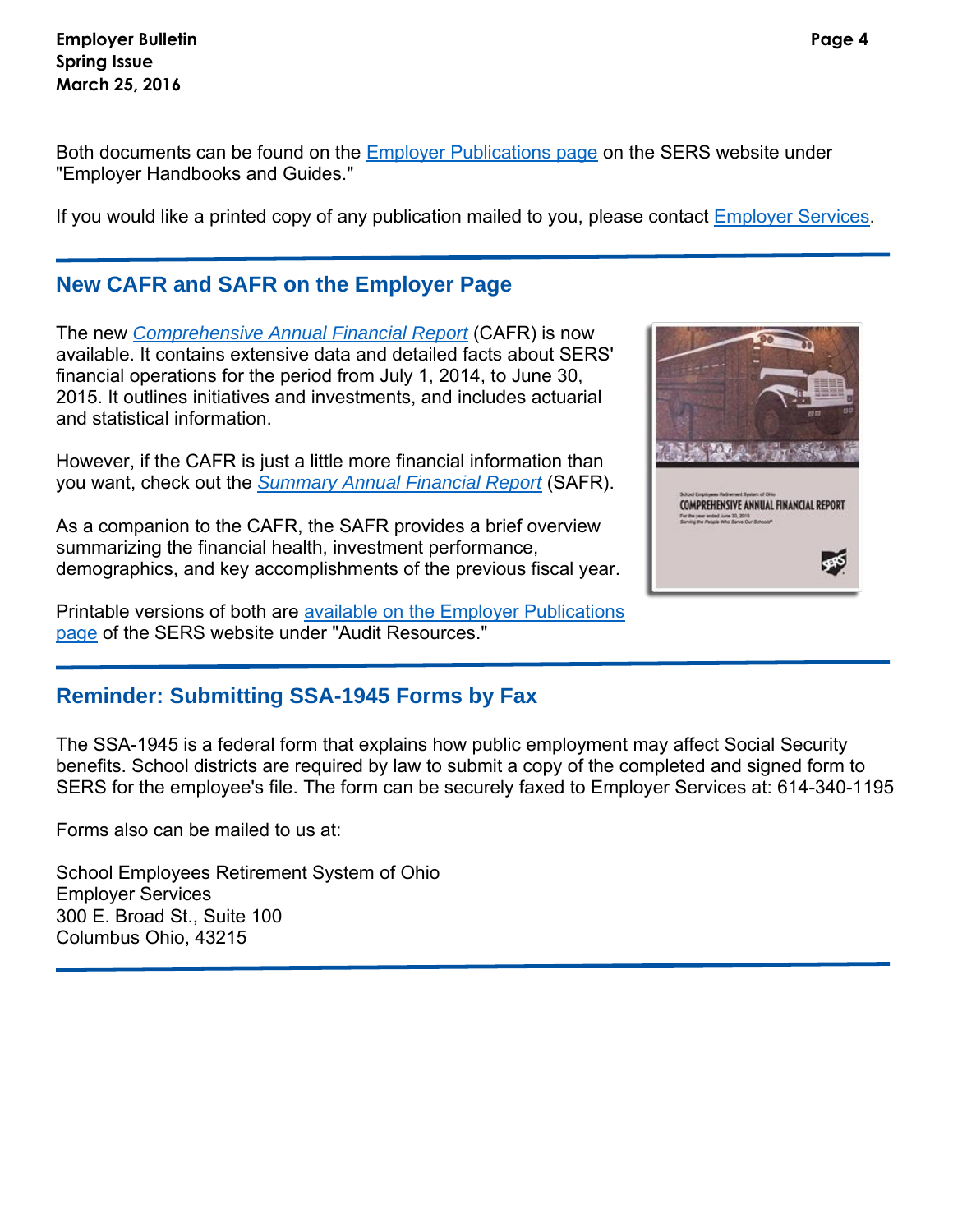**Employer Bulletin Page 4 Spring Issue March 25, 2016** 

Both documents can be found on the **Employer Publications page on the SERS website under** "Employer Handbooks and Guides."

If you would like a printed copy of any publication mailed to you, please contact [Employer Services.](mailto:employerservices@ohsers.org)

### **New CAFR and SAFR on the Employer Page**

The new *[Comprehensive Annual Financial Report](http://www.ohsers.org/Document/Get/15090)* (CAFR) is now available. It contains extensive data and detailed facts about SERS' financial operations for the period from July 1, 2014, to June 30, 2015. It outlines initiatives and investments, and includes actuarial and statistical information.

However, if the CAFR is just a little more financial information than you want, check out the *[Summary Annual Financial Report](http://www.ohsers.org/Document/Get/15110)* (SAFR).

As a companion to the CAFR, the SAFR provides a brief overview summarizing the financial health, investment performance, demographics, and key accomplishments of the previous fiscal year.

Printable versions of both are [available on the Employer Publications](http://www.ohsers.org/employer-publications-1)  [page](http://www.ohsers.org/employer-publications-1) of the SERS website under "Audit Resources."



The SSA-1945 is a federal form that explains how public employment may affect Social Security benefits. School districts are required by law to submit a copy of the completed and signed form to SERS for the employee's file. The form can be securely faxed to Employer Services at: 614-340-1195

Forms also can be mailed to us at:

School Employees Retirement System of Ohio Employer Services 300 E. Broad St., Suite 100 Columbus Ohio, 43215